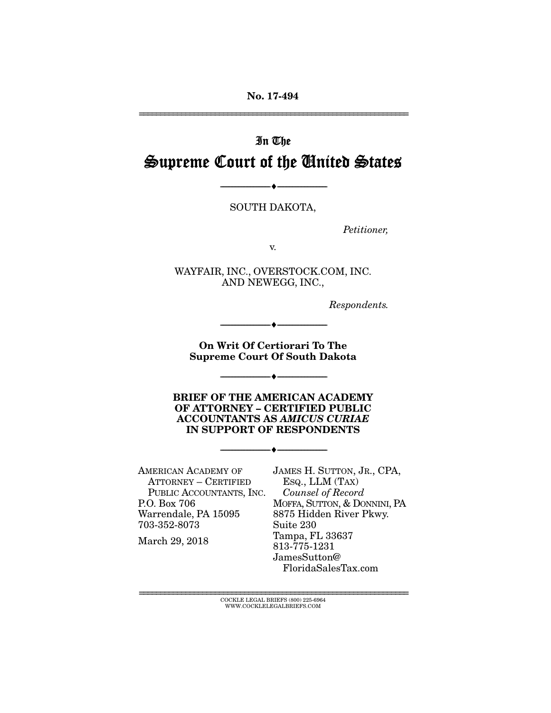No. 17-494 ================================================================

# In The Supreme Court of the United States

SOUTH DAKOTA,

--------------------------------- ---------------------------------

*Petitioner,* 

v.

WAYFAIR, INC., OVERSTOCK.COM, INC. AND NEWEGG, INC.,

*Respondents.* 

On Writ Of Certiorari To The Supreme Court Of South Dakota

--------------------------------- ---------------------------------

--------------------------------- ---------------------------------

BRIEF OF THE AMERICAN ACADEMY OF ATTORNEY – CERTIFIED PUBLIC ACCOUNTANTS AS *AMICUS CURIAE* IN SUPPORT OF RESPONDENTS

--------------------------------- ---------------------------------

AMERICAN ACADEMY OF ATTORNEY – CERTIFIED PUBLIC ACCOUNTANTS, INC. P.O. Box 706 Warrendale, PA 15095 703-352-8073

March 29, 2018

JAMES H. SUTTON, JR., CPA, ESQ., LLM (TAX)  *Counsel of Record*  MOFFA, SUTTON, & DONNINI, PA 8875 Hidden River Pkwy. Suite 230 Tampa, FL 33637 813-775-1231 JamesSutton@ FloridaSalesTax.com

================================================================ COCKLE LEGAL BRIEFS (800) 225-6964 WWW.COCKLELEGALBRIEFS.COM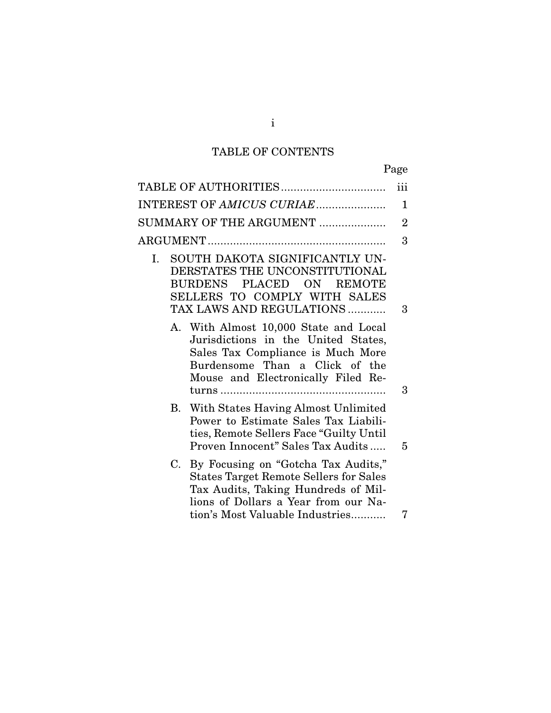# TABLE OF CONTENTS

| TABLE OF AUTHORITIES                                                                                                                                                                                         |               | iii            |
|--------------------------------------------------------------------------------------------------------------------------------------------------------------------------------------------------------------|---------------|----------------|
| INTEREST OF AMICUS CURIAE                                                                                                                                                                                    |               | 1              |
| SUMMARY OF THE ARGUMENT                                                                                                                                                                                      |               | $\overline{2}$ |
|                                                                                                                                                                                                              |               | 3              |
| SOUTH DAKOTA SIGNIFICANTLY UN-<br>Ι.<br>DERSTATES THE UNCONSTITUTIONAL<br>BURDENS PLACED ON<br>SELLERS TO COMPLY WITH SALES<br>TAX LAWS AND REGULATIONS                                                      | <b>REMOTE</b> | 3              |
| A. With Almost 10,000 State and Local<br>Jurisdictions in the United States,<br>Sales Tax Compliance is Much More<br>Burdensome Than a Click of the<br>Mouse and Electronically Filed Re-                    |               | 3              |
| B. With States Having Almost Unlimited<br>Power to Estimate Sales Tax Liabili-<br>ties, Remote Sellers Face "Guilty Until<br>Proven Innocent" Sales Tax Audits                                               |               | 5              |
| By Focusing on "Gotcha Tax Audits,"<br>C.<br><b>States Target Remote Sellers for Sales</b><br>Tax Audits, Taking Hundreds of Mil-<br>lions of Dollars a Year from our Na-<br>tion's Most Valuable Industries |               | 7              |
|                                                                                                                                                                                                              |               |                |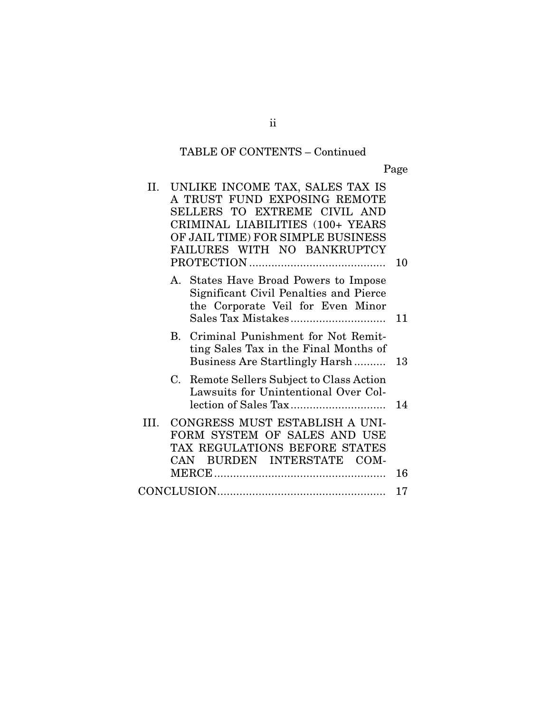# TABLE OF CONTENTS – Continued

Page

| II. |     | UNLIKE INCOME TAX, SALES TAX IS<br>A TRUST FUND EXPOSING REMOTE<br>SELLERS TO EXTREME CIVIL AND<br>CRIMINAL LIABILITIES (100+ YEARS<br>OF JAIL TIME) FOR SIMPLE BUSINESS<br>FAILURES WITH NO BANKRUPTCY | 10 |
|-----|-----|---------------------------------------------------------------------------------------------------------------------------------------------------------------------------------------------------------|----|
|     |     | A. States Have Broad Powers to Impose<br>Significant Civil Penalties and Pierce<br>the Corporate Veil for Even Minor                                                                                    | 11 |
|     |     | B. Criminal Punishment for Not Remit-<br>ting Sales Tax in the Final Months of<br>Business Are Startlingly Harsh                                                                                        | 13 |
|     | C.  | Remote Sellers Subject to Class Action<br>Lawsuits for Unintentional Over Col-                                                                                                                          | 14 |
| HI. | CAN | CONGRESS MUST ESTABLISH A UNI-<br>FORM SYSTEM OF SALES AND USE<br>TAX REGULATIONS BEFORE STATES<br>BURDEN INTERSTATE COM-                                                                               | 16 |
|     |     |                                                                                                                                                                                                         | 17 |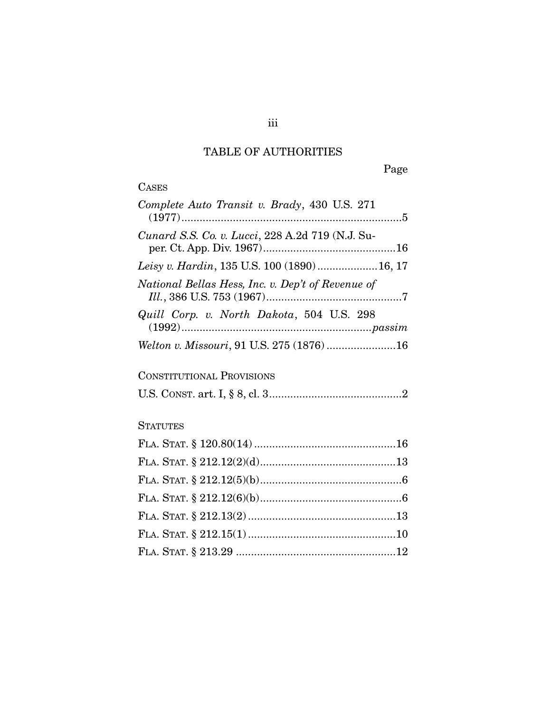# TABLE OF AUTHORITIES

Page

# CASES

| Complete Auto Transit v. Brady, 430 U.S. 271      |
|---------------------------------------------------|
| Cunard S.S. Co. v. Lucci, 228 A.2d 719 (N.J. Su-  |
| Leisy v. Hardin, 135 U.S. 100 (1890) 16, 17       |
| National Bellas Hess, Inc. v. Dep't of Revenue of |
| Quill Corp. v. North Dakota, 504 U.S. 298         |
| Welton v. Missouri, 91 U.S. 275 (1876) 16         |

# CONSTITUTIONAL PROVISIONS

|--|--|--|--|--|--|--|

# **STATUTES**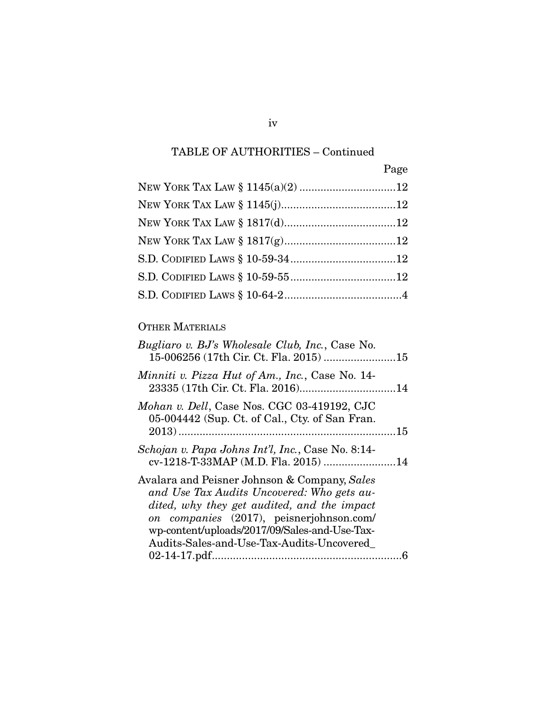# TABLE OF AUTHORITIES – Continued

| Page |
|------|
|      |
|      |
|      |
|      |
|      |
|      |
|      |

# OTHER MATERIALS

| Bugliaro v. BJ's Wholesale Club, Inc., Case No.<br>15-006256 (17th Cir. Ct. Fla. 2015) 15                                                                                                                                                                                           |  |
|-------------------------------------------------------------------------------------------------------------------------------------------------------------------------------------------------------------------------------------------------------------------------------------|--|
| Minniti v. Pizza Hut of Am., Inc., Case No. 14-                                                                                                                                                                                                                                     |  |
| Mohan v. Dell, Case Nos. CGC 03-419192, CJC<br>05-004442 (Sup. Ct. of Cal., Cty. of San Fran.                                                                                                                                                                                       |  |
| Schojan v. Papa Johns Int'l, Inc., Case No. 8:14-<br>cv-1218-T-33MAP (M.D. Fla. 2015) 14                                                                                                                                                                                            |  |
| Avalara and Peisner Johnson & Company, Sales<br>and Use Tax Audits Uncovered: Who gets au-<br>dited, why they get audited, and the impact<br>on companies (2017), peisnerjohnson.com/<br>wp-content/uploads/2017/09/Sales-and-Use-Tax-<br>Audits-Sales-and-Use-Tax-Audits-Uncovered |  |
|                                                                                                                                                                                                                                                                                     |  |

iv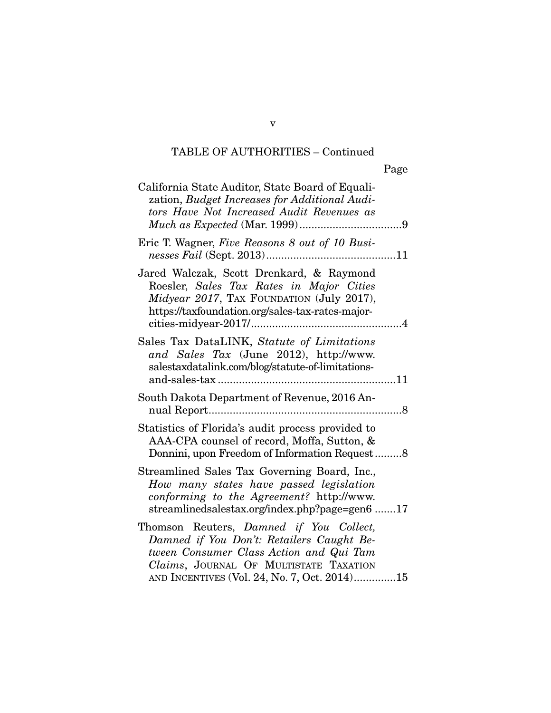# TABLE OF AUTHORITIES – Continued

v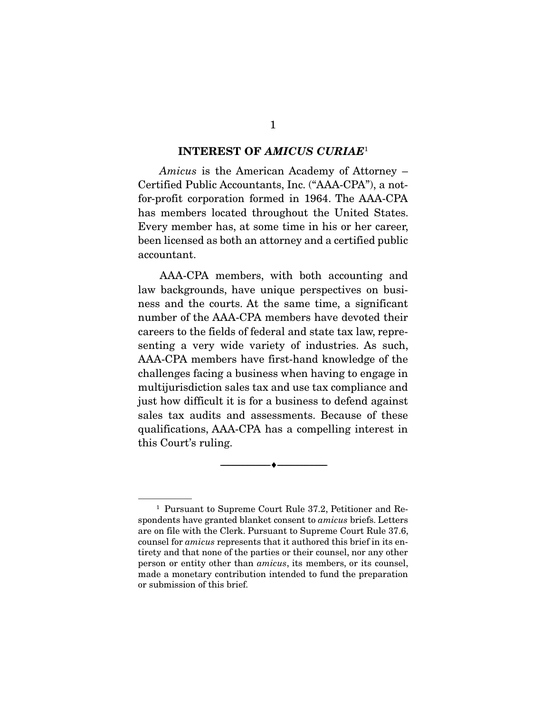#### INTEREST OF *AMICUS CURIAE*<sup>1</sup>

*Amicus* is the American Academy of Attorney – Certified Public Accountants, Inc. ("AAA-CPA"), a notfor-profit corporation formed in 1964. The AAA-CPA has members located throughout the United States. Every member has, at some time in his or her career, been licensed as both an attorney and a certified public accountant.

 AAA-CPA members, with both accounting and law backgrounds, have unique perspectives on business and the courts. At the same time, a significant number of the AAA-CPA members have devoted their careers to the fields of federal and state tax law, representing a very wide variety of industries. As such, AAA-CPA members have first-hand knowledge of the challenges facing a business when having to engage in multijurisdiction sales tax and use tax compliance and just how difficult it is for a business to defend against sales tax audits and assessments. Because of these qualifications, AAA-CPA has a compelling interest in this Court's ruling.

--------------------------------- ---------------------------------

 <sup>1</sup> Pursuant to Supreme Court Rule 37.2, Petitioner and Respondents have granted blanket consent to *amicus* briefs. Letters are on file with the Clerk. Pursuant to Supreme Court Rule 37.6, counsel for *amicus* represents that it authored this brief in its entirety and that none of the parties or their counsel, nor any other person or entity other than *amicus*, its members, or its counsel, made a monetary contribution intended to fund the preparation or submission of this brief.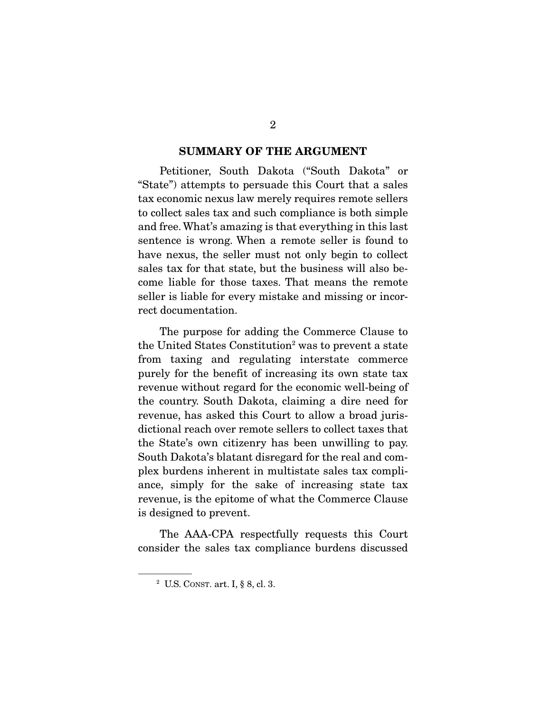#### SUMMARY OF THE ARGUMENT

 Petitioner, South Dakota ("South Dakota" or "State") attempts to persuade this Court that a sales tax economic nexus law merely requires remote sellers to collect sales tax and such compliance is both simple and free. What's amazing is that everything in this last sentence is wrong. When a remote seller is found to have nexus, the seller must not only begin to collect sales tax for that state, but the business will also become liable for those taxes. That means the remote seller is liable for every mistake and missing or incorrect documentation.

 The purpose for adding the Commerce Clause to the United States Constitution<sup>2</sup> was to prevent a state from taxing and regulating interstate commerce purely for the benefit of increasing its own state tax revenue without regard for the economic well-being of the country. South Dakota, claiming a dire need for revenue, has asked this Court to allow a broad jurisdictional reach over remote sellers to collect taxes that the State's own citizenry has been unwilling to pay. South Dakota's blatant disregard for the real and complex burdens inherent in multistate sales tax compliance, simply for the sake of increasing state tax revenue, is the epitome of what the Commerce Clause is designed to prevent.

 The AAA-CPA respectfully requests this Court consider the sales tax compliance burdens discussed

<sup>2</sup> U.S. CONST. art. I, § 8, cl. 3.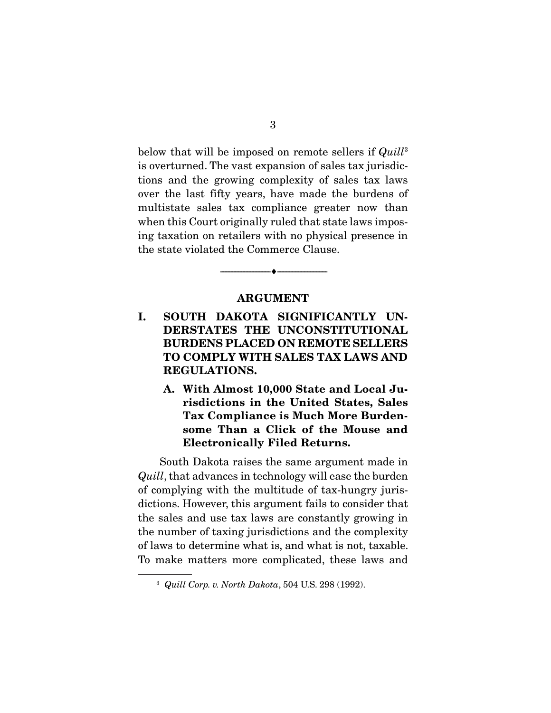below that will be imposed on remote sellers if *Quill*<sup>3</sup> is overturned. The vast expansion of sales tax jurisdictions and the growing complexity of sales tax laws over the last fifty years, have made the burdens of multistate sales tax compliance greater now than when this Court originally ruled that state laws imposing taxation on retailers with no physical presence in the state violated the Commerce Clause.

#### ARGUMENT

--------------------------------- ---------------------------------

- I. SOUTH DAKOTA SIGNIFICANTLY UN-DERSTATES THE UNCONSTITUTIONAL BURDENS PLACED ON REMOTE SELLERS TO COMPLY WITH SALES TAX LAWS AND REGULATIONS.
	- A. With Almost 10,000 State and Local Jurisdictions in the United States, Sales Tax Compliance is Much More Burdensome Than a Click of the Mouse and Electronically Filed Returns.

 South Dakota raises the same argument made in *Quill*, that advances in technology will ease the burden of complying with the multitude of tax-hungry jurisdictions. However, this argument fails to consider that the sales and use tax laws are constantly growing in the number of taxing jurisdictions and the complexity of laws to determine what is, and what is not, taxable. To make matters more complicated, these laws and

<sup>3</sup> *Quill Corp. v. North Dakota*, 504 U.S. 298 (1992).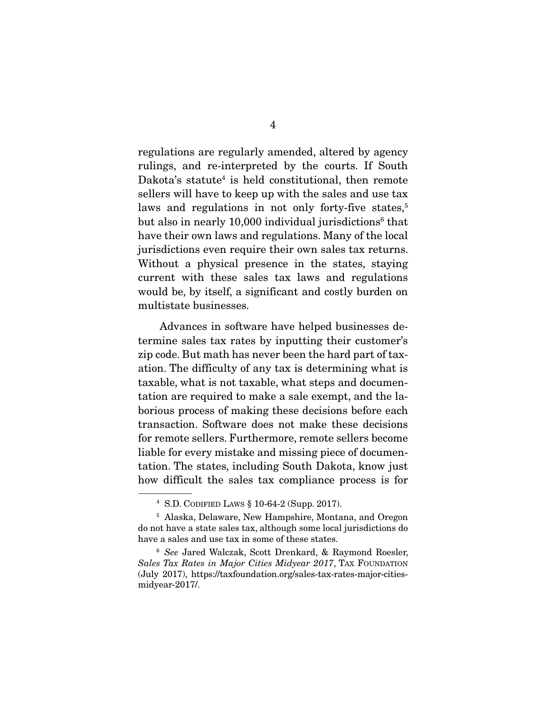regulations are regularly amended, altered by agency rulings, and re-interpreted by the courts. If South Dakota's statute<sup>4</sup> is held constitutional, then remote sellers will have to keep up with the sales and use tax laws and regulations in not only forty-five states,<sup>5</sup> but also in nearly 10,000 individual jurisdictions<sup>6</sup> that have their own laws and regulations. Many of the local jurisdictions even require their own sales tax returns. Without a physical presence in the states, staying current with these sales tax laws and regulations would be, by itself, a significant and costly burden on multistate businesses.

 Advances in software have helped businesses determine sales tax rates by inputting their customer's zip code. But math has never been the hard part of taxation. The difficulty of any tax is determining what is taxable, what is not taxable, what steps and documentation are required to make a sale exempt, and the laborious process of making these decisions before each transaction. Software does not make these decisions for remote sellers. Furthermore, remote sellers become liable for every mistake and missing piece of documentation. The states, including South Dakota, know just how difficult the sales tax compliance process is for

<sup>4</sup> S.D. CODIFIED LAWS § 10-64-2 (Supp. 2017).

 <sup>5</sup> Alaska, Delaware, New Hampshire, Montana, and Oregon do not have a state sales tax, although some local jurisdictions do have a sales and use tax in some of these states.

<sup>6</sup> *See* Jared Walczak, Scott Drenkard, & Raymond Roesler, *Sales Tax Rates in Major Cities Midyear 2017*, TAX FOUNDATION (July 2017), https://taxfoundation.org/sales-tax-rates-major-citiesmidyear-2017/.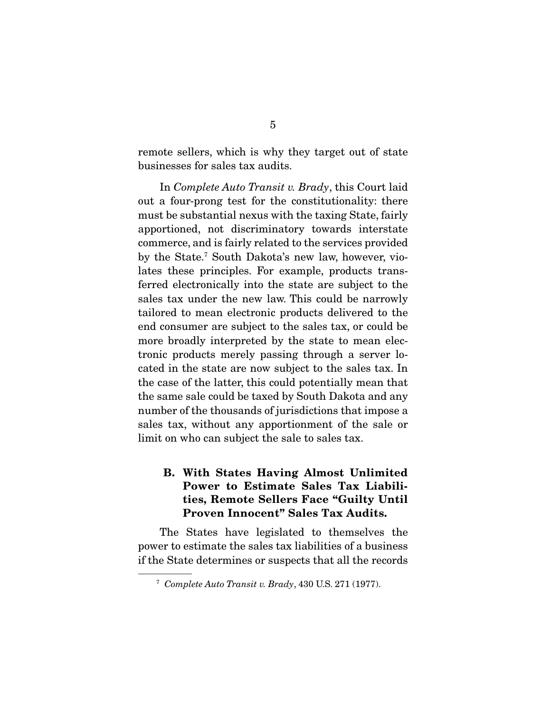remote sellers, which is why they target out of state businesses for sales tax audits.

 In *Complete Auto Transit v. Brady*, this Court laid out a four-prong test for the constitutionality: there must be substantial nexus with the taxing State, fairly apportioned, not discriminatory towards interstate commerce, and is fairly related to the services provided by the State.7 South Dakota's new law, however, violates these principles. For example, products transferred electronically into the state are subject to the sales tax under the new law. This could be narrowly tailored to mean electronic products delivered to the end consumer are subject to the sales tax, or could be more broadly interpreted by the state to mean electronic products merely passing through a server located in the state are now subject to the sales tax. In the case of the latter, this could potentially mean that the same sale could be taxed by South Dakota and any number of the thousands of jurisdictions that impose a sales tax, without any apportionment of the sale or limit on who can subject the sale to sales tax.

### B. With States Having Almost Unlimited Power to Estimate Sales Tax Liabilities, Remote Sellers Face "Guilty Until Proven Innocent" Sales Tax Audits.

 The States have legislated to themselves the power to estimate the sales tax liabilities of a business if the State determines or suspects that all the records

<sup>7</sup> *Complete Auto Transit v. Brady*, 430 U.S. 271 (1977).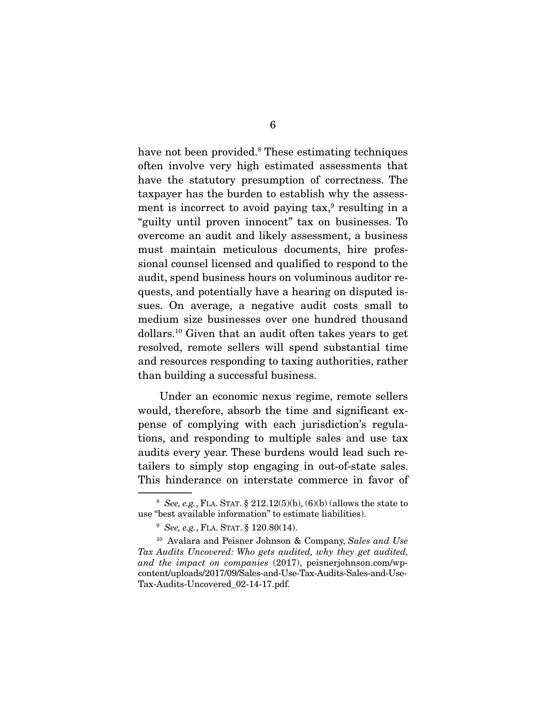have not been provided.<sup>8</sup> These estimating techniques often involve very high estimated assessments that have the statutory presumption of correctness. The taxpayer has the burden to establish why the assessment is incorrect to avoid paying tax,<sup>9</sup> resulting in a "guilty until proven innocent" tax on businesses. To overcome an audit and likely assessment, a business must maintain meticulous documents, hire professional counsel licensed and qualified to respond to the audit, spend business hours on voluminous auditor requests, and potentially have a hearing on disputed issues. On average, a negative audit costs small to medium size businesses over one hundred thousand dollars.10 Given that an audit often takes years to get resolved, remote sellers will spend substantial time and resources responding to taxing authorities, rather than building a successful business.

 Under an economic nexus regime, remote sellers would, therefore, absorb the time and significant expense of complying with each jurisdiction's regulations, and responding to multiple sales and use tax audits every year. These burdens would lead such retailers to simply stop engaging in out-of-state sales. This hinderance on interstate commerce in favor of

<sup>&</sup>lt;sup>8</sup> *See, e.g.*, FLA. STAT.  $\S 212.12(5)(b)$ ,  $(6)(b)$  (allows the state to use "best available information" to estimate liabilities).

<sup>9</sup> *See, e.g.*, FLA. STAT. § 120.80(14).

 <sup>10</sup> Avalara and Peisner Johnson & Company, *Sales and Use Tax Audits Uncovered: Who gets audited, why they get audited, and the impact on companies* (2017), peisnerjohnson.com/wpcontent/uploads/2017/09/Sales-and-Use-Tax-Audits-Sales-and-Use-Tax-Audits-Uncovered\_02-14-17.pdf.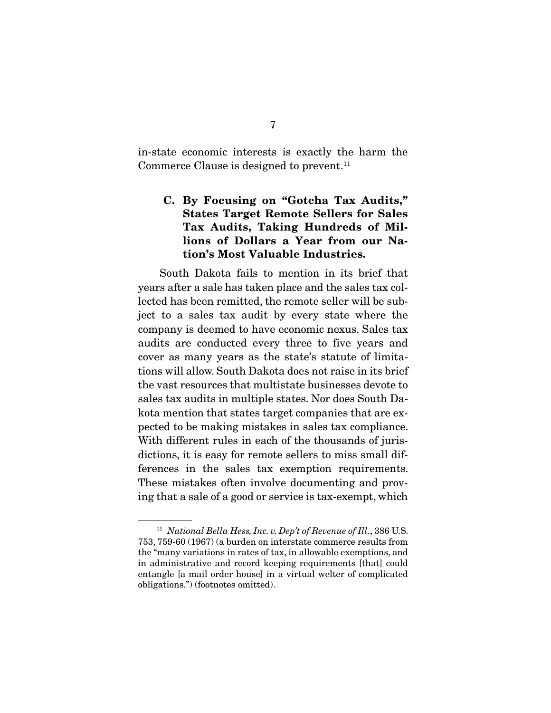in-state economic interests is exactly the harm the Commerce Clause is designed to prevent.<sup>11</sup>

# C. By Focusing on "Gotcha Tax Audits," States Target Remote Sellers for Sales Tax Audits, Taking Hundreds of Millions of Dollars a Year from our Nation's Most Valuable Industries.

 South Dakota fails to mention in its brief that years after a sale has taken place and the sales tax collected has been remitted, the remote seller will be subject to a sales tax audit by every state where the company is deemed to have economic nexus. Sales tax audits are conducted every three to five years and cover as many years as the state's statute of limitations will allow. South Dakota does not raise in its brief the vast resources that multistate businesses devote to sales tax audits in multiple states. Nor does South Dakota mention that states target companies that are expected to be making mistakes in sales tax compliance. With different rules in each of the thousands of jurisdictions, it is easy for remote sellers to miss small differences in the sales tax exemption requirements. These mistakes often involve documenting and proving that a sale of a good or service is tax-exempt, which

<sup>11</sup> *National Bella Hess, Inc. v. Dep't of Revenue of Ill.*, 386 U.S. 753, 759-60 (1967) (a burden on interstate commerce results from the "many variations in rates of tax, in allowable exemptions, and in administrative and record keeping requirements [that] could entangle [a mail order house] in a virtual welter of complicated obligations.") (footnotes omitted).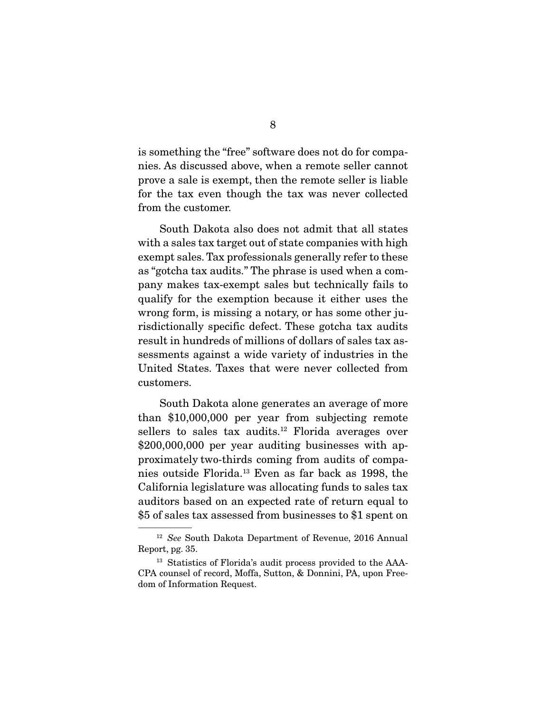is something the "free" software does not do for companies. As discussed above, when a remote seller cannot prove a sale is exempt, then the remote seller is liable for the tax even though the tax was never collected from the customer.

 South Dakota also does not admit that all states with a sales tax target out of state companies with high exempt sales. Tax professionals generally refer to these as "gotcha tax audits." The phrase is used when a company makes tax-exempt sales but technically fails to qualify for the exemption because it either uses the wrong form, is missing a notary, or has some other jurisdictionally specific defect. These gotcha tax audits result in hundreds of millions of dollars of sales tax assessments against a wide variety of industries in the United States. Taxes that were never collected from customers.

 South Dakota alone generates an average of more than \$10,000,000 per year from subjecting remote sellers to sales tax audits.<sup>12</sup> Florida averages over \$200,000,000 per year auditing businesses with approximately two-thirds coming from audits of companies outside Florida.13 Even as far back as 1998, the California legislature was allocating funds to sales tax auditors based on an expected rate of return equal to \$5 of sales tax assessed from businesses to \$1 spent on

<sup>12</sup> *See* South Dakota Department of Revenue, 2016 Annual Report, pg. 35.

<sup>&</sup>lt;sup>13</sup> Statistics of Florida's audit process provided to the AAA-CPA counsel of record, Moffa, Sutton, & Donnini, PA, upon Freedom of Information Request.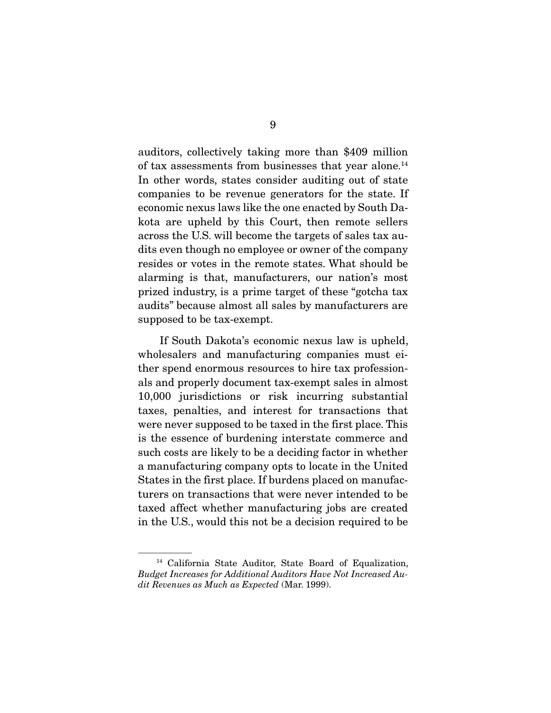auditors, collectively taking more than \$409 million of tax assessments from businesses that year alone.14 In other words, states consider auditing out of state companies to be revenue generators for the state. If economic nexus laws like the one enacted by South Dakota are upheld by this Court, then remote sellers across the U.S. will become the targets of sales tax audits even though no employee or owner of the company resides or votes in the remote states. What should be alarming is that, manufacturers, our nation's most prized industry, is a prime target of these "gotcha tax audits" because almost all sales by manufacturers are supposed to be tax-exempt.

 If South Dakota's economic nexus law is upheld, wholesalers and manufacturing companies must either spend enormous resources to hire tax professionals and properly document tax-exempt sales in almost 10,000 jurisdictions or risk incurring substantial taxes, penalties, and interest for transactions that were never supposed to be taxed in the first place. This is the essence of burdening interstate commerce and such costs are likely to be a deciding factor in whether a manufacturing company opts to locate in the United States in the first place. If burdens placed on manufacturers on transactions that were never intended to be taxed affect whether manufacturing jobs are created in the U.S., would this not be a decision required to be

<sup>14</sup> California State Auditor, State Board of Equalization, *Budget Increases for Additional Auditors Have Not Increased Audit Revenues as Much as Expected* (Mar. 1999).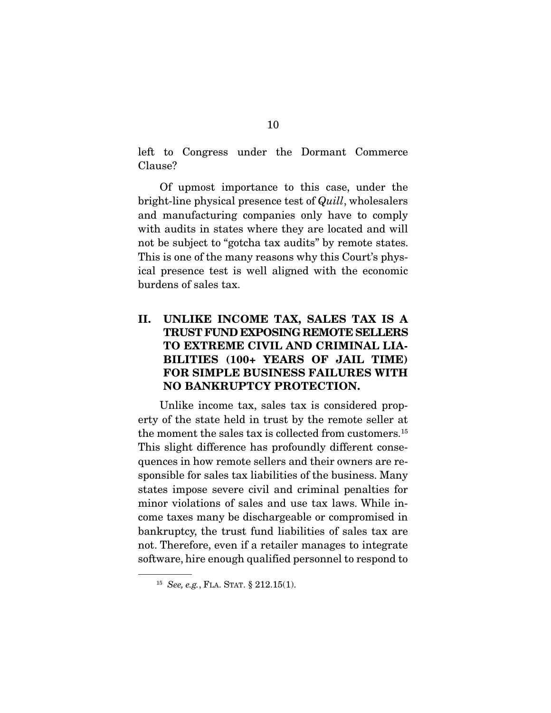left to Congress under the Dormant Commerce Clause?

 Of upmost importance to this case, under the bright-line physical presence test of *Quill*, wholesalers and manufacturing companies only have to comply with audits in states where they are located and will not be subject to "gotcha tax audits" by remote states. This is one of the many reasons why this Court's physical presence test is well aligned with the economic burdens of sales tax.

# II. UNLIKE INCOME TAX, SALES TAX IS A TRUST FUND EXPOSING REMOTE SELLERS TO EXTREME CIVIL AND CRIMINAL LIA-BILITIES (100+ YEARS OF JAIL TIME) FOR SIMPLE BUSINESS FAILURES WITH NO BANKRUPTCY PROTECTION.

 Unlike income tax, sales tax is considered property of the state held in trust by the remote seller at the moment the sales tax is collected from customers.<sup>15</sup> This slight difference has profoundly different consequences in how remote sellers and their owners are responsible for sales tax liabilities of the business. Many states impose severe civil and criminal penalties for minor violations of sales and use tax laws. While income taxes many be dischargeable or compromised in bankruptcy, the trust fund liabilities of sales tax are not. Therefore, even if a retailer manages to integrate software, hire enough qualified personnel to respond to

<sup>15</sup> *See, e.g.*, FLA. STAT. § 212.15(1).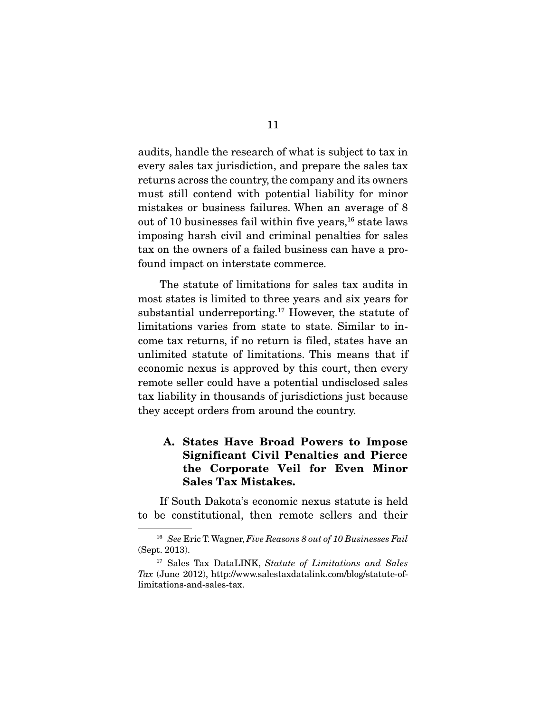audits, handle the research of what is subject to tax in every sales tax jurisdiction, and prepare the sales tax returns across the country, the company and its owners must still contend with potential liability for minor mistakes or business failures. When an average of 8 out of 10 businesses fail within five years,  $16$  state laws imposing harsh civil and criminal penalties for sales tax on the owners of a failed business can have a profound impact on interstate commerce.

 The statute of limitations for sales tax audits in most states is limited to three years and six years for substantial underreporting.17 However, the statute of limitations varies from state to state. Similar to income tax returns, if no return is filed, states have an unlimited statute of limitations. This means that if economic nexus is approved by this court, then every remote seller could have a potential undisclosed sales tax liability in thousands of jurisdictions just because they accept orders from around the country.

### A. States Have Broad Powers to Impose Significant Civil Penalties and Pierce the Corporate Veil for Even Minor Sales Tax Mistakes.

 If South Dakota's economic nexus statute is held to be constitutional, then remote sellers and their

<sup>16</sup> *See* Eric T. Wagner, *Five Reasons 8 out of 10 Businesses Fail* (Sept. 2013).

<sup>17</sup> Sales Tax DataLINK, *Statute of Limitations and Sales Tax* (June 2012), http://www.salestaxdatalink.com/blog/statute-oflimitations-and-sales-tax.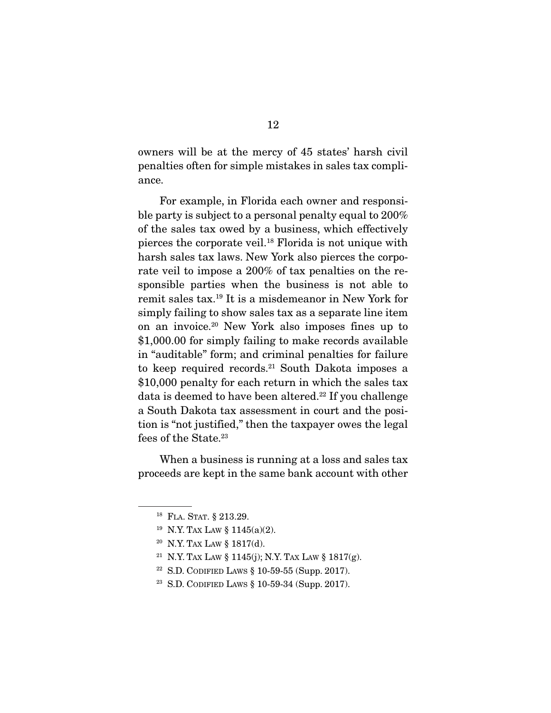owners will be at the mercy of 45 states' harsh civil penalties often for simple mistakes in sales tax compliance.

 For example, in Florida each owner and responsible party is subject to a personal penalty equal to 200% of the sales tax owed by a business, which effectively pierces the corporate veil.18 Florida is not unique with harsh sales tax laws. New York also pierces the corporate veil to impose a 200% of tax penalties on the responsible parties when the business is not able to remit sales tax.19 It is a misdemeanor in New York for simply failing to show sales tax as a separate line item on an invoice.20 New York also imposes fines up to \$1,000.00 for simply failing to make records available in "auditable" form; and criminal penalties for failure to keep required records.21 South Dakota imposes a \$10,000 penalty for each return in which the sales tax data is deemed to have been altered.<sup>22</sup> If you challenge a South Dakota tax assessment in court and the position is "not justified," then the taxpayer owes the legal fees of the State.<sup>23</sup>

 When a business is running at a loss and sales tax proceeds are kept in the same bank account with other

<sup>18</sup> FLA. STAT. § 213.29.

<sup>19</sup> N.Y. TAX LAW § 1145(a)(2).

<sup>20</sup> N.Y. TAX LAW § 1817(d).

<sup>&</sup>lt;sup>21</sup> N.Y. TAX LAW § 1145(j); N.Y. TAX LAW § 1817(g).

<sup>22</sup> S.D. CODIFIED LAWS § 10-59-55 (Supp. 2017).

<sup>23</sup> S.D. CODIFIED LAWS § 10-59-34 (Supp. 2017).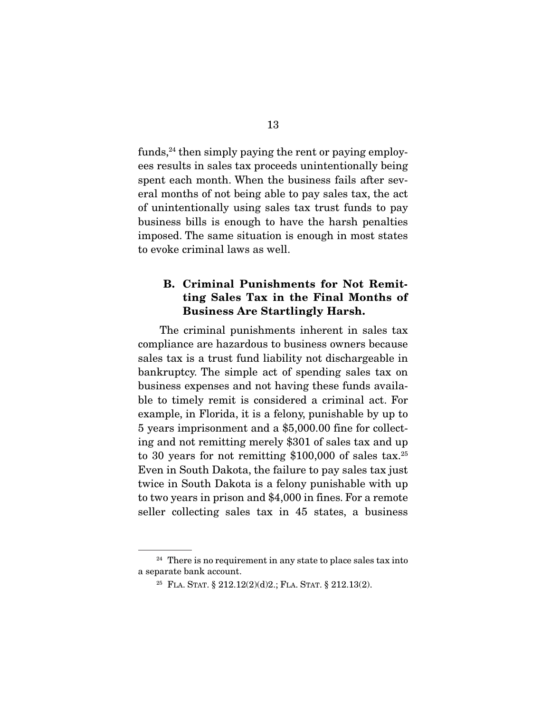funds, $24$  then simply paying the rent or paying employees results in sales tax proceeds unintentionally being spent each month. When the business fails after several months of not being able to pay sales tax, the act of unintentionally using sales tax trust funds to pay business bills is enough to have the harsh penalties imposed. The same situation is enough in most states to evoke criminal laws as well.

## B. Criminal Punishments for Not Remitting Sales Tax in the Final Months of Business Are Startlingly Harsh.

 The criminal punishments inherent in sales tax compliance are hazardous to business owners because sales tax is a trust fund liability not dischargeable in bankruptcy. The simple act of spending sales tax on business expenses and not having these funds available to timely remit is considered a criminal act. For example, in Florida, it is a felony, punishable by up to 5 years imprisonment and a \$5,000.00 fine for collecting and not remitting merely \$301 of sales tax and up to 30 years for not remitting  $$100,000$  of sales tax.<sup>25</sup> Even in South Dakota, the failure to pay sales tax just twice in South Dakota is a felony punishable with up to two years in prison and \$4,000 in fines. For a remote seller collecting sales tax in 45 states, a business

 $24$  There is no requirement in any state to place sales tax into a separate bank account.

<sup>&</sup>lt;sup>25</sup> FLA. STAT. § 212.12(2)(d)2.; FLA. STAT. § 212.13(2).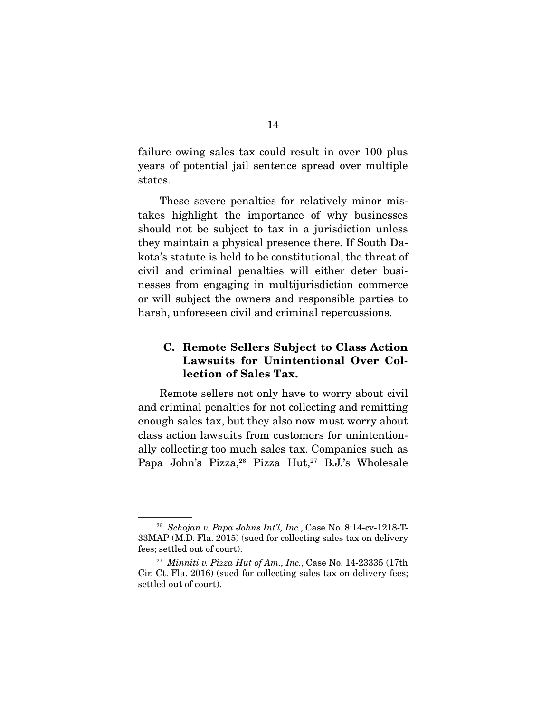failure owing sales tax could result in over 100 plus years of potential jail sentence spread over multiple states.

 These severe penalties for relatively minor mistakes highlight the importance of why businesses should not be subject to tax in a jurisdiction unless they maintain a physical presence there. If South Dakota's statute is held to be constitutional, the threat of civil and criminal penalties will either deter businesses from engaging in multijurisdiction commerce or will subject the owners and responsible parties to harsh, unforeseen civil and criminal repercussions.

### C. Remote Sellers Subject to Class Action Lawsuits for Unintentional Over Collection of Sales Tax.

 Remote sellers not only have to worry about civil and criminal penalties for not collecting and remitting enough sales tax, but they also now must worry about class action lawsuits from customers for unintentionally collecting too much sales tax. Companies such as Papa John's Pizza, <sup>26</sup> Pizza Hut,<sup>27</sup> B.J.'s Wholesale

<sup>26</sup> *Schojan v. Papa Johns Int'l, Inc.*, Case No. 8:14-cv-1218-T-33MAP (M.D. Fla. 2015) (sued for collecting sales tax on delivery fees; settled out of court).

<sup>27</sup> *Minniti v. Pizza Hut of Am., Inc.*, Case No. 14-23335 (17th Cir. Ct. Fla. 2016) (sued for collecting sales tax on delivery fees; settled out of court).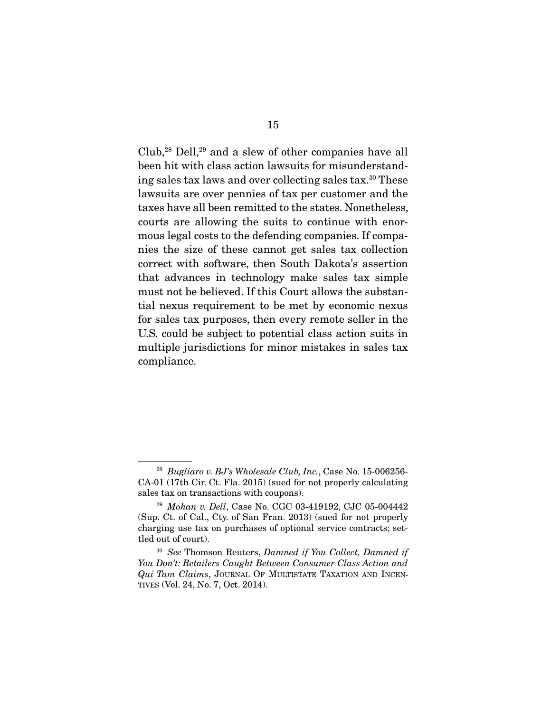Club,<sup>28</sup> Dell,<sup>29</sup> and a slew of other companies have all been hit with class action lawsuits for misunderstanding sales tax laws and over collecting sales tax.30 These lawsuits are over pennies of tax per customer and the taxes have all been remitted to the states. Nonetheless, courts are allowing the suits to continue with enormous legal costs to the defending companies. If companies the size of these cannot get sales tax collection correct with software, then South Dakota's assertion that advances in technology make sales tax simple must not be believed. If this Court allows the substantial nexus requirement to be met by economic nexus for sales tax purposes, then every remote seller in the U.S. could be subject to potential class action suits in multiple jurisdictions for minor mistakes in sales tax compliance.

<sup>28</sup> *Bugliaro v. BJ's Wholesale Club, Inc.*, Case No. 15-006256- CA-01 (17th Cir. Ct. Fla. 2015) (sued for not properly calculating sales tax on transactions with coupons).

<sup>29</sup> *Mohan v. Dell*, Case No. CGC 03-419192, CJC 05-004442 (Sup. Ct. of Cal., Cty. of San Fran. 2013) (sued for not properly charging use tax on purchases of optional service contracts; settled out of court).

<sup>30</sup> *See* Thomson Reuters, *Damned if You Collect, Damned if You Don't: Retailers Caught Between Consumer Class Action and Qui Tam Claims*, JOURNAL OF MULTISTATE TAXATION AND INCEN-TIVES (Vol. 24, No. 7, Oct. 2014).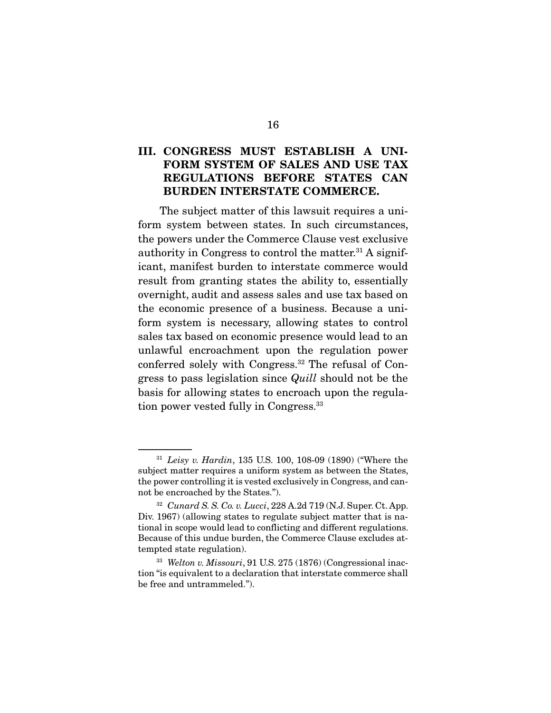## III. CONGRESS MUST ESTABLISH A UNI-FORM SYSTEM OF SALES AND USE TAX REGULATIONS BEFORE STATES CAN BURDEN INTERSTATE COMMERCE.

 The subject matter of this lawsuit requires a uniform system between states. In such circumstances, the powers under the Commerce Clause vest exclusive authority in Congress to control the matter.<sup>31</sup> A significant, manifest burden to interstate commerce would result from granting states the ability to, essentially overnight, audit and assess sales and use tax based on the economic presence of a business. Because a uniform system is necessary, allowing states to control sales tax based on economic presence would lead to an unlawful encroachment upon the regulation power conferred solely with Congress.32 The refusal of Congress to pass legislation since *Quill* should not be the basis for allowing states to encroach upon the regulation power vested fully in Congress.33

<sup>31</sup> *Leisy v. Hardin*, 135 U.S. 100, 108-09 (1890) ("Where the subject matter requires a uniform system as between the States, the power controlling it is vested exclusively in Congress, and cannot be encroached by the States.").

<sup>32</sup> *Cunard S. S. Co. v. Lucci*, 228 A.2d 719 (N.J. Super. Ct. App. Div. 1967) (allowing states to regulate subject matter that is national in scope would lead to conflicting and different regulations. Because of this undue burden, the Commerce Clause excludes attempted state regulation).

<sup>33</sup> *Welton v. Missouri*, 91 U.S. 275 (1876) (Congressional inaction "is equivalent to a declaration that interstate commerce shall be free and untrammeled.").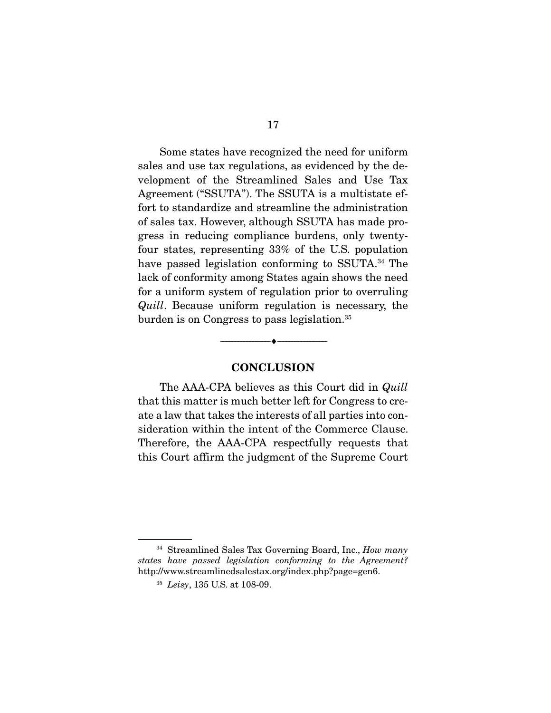Some states have recognized the need for uniform sales and use tax regulations, as evidenced by the development of the Streamlined Sales and Use Tax Agreement ("SSUTA"). The SSUTA is a multistate effort to standardize and streamline the administration of sales tax. However, although SSUTA has made progress in reducing compliance burdens, only twentyfour states, representing 33% of the U.S. population have passed legislation conforming to SSUTA.<sup>34</sup> The lack of conformity among States again shows the need for a uniform system of regulation prior to overruling *Quill*. Because uniform regulation is necessary, the burden is on Congress to pass legislation.<sup>35</sup>

#### **CONCLUSION**

--------------------------------- ---------------------------------

 The AAA-CPA believes as this Court did in *Quill* that this matter is much better left for Congress to create a law that takes the interests of all parties into consideration within the intent of the Commerce Clause. Therefore, the AAA-CPA respectfully requests that this Court affirm the judgment of the Supreme Court

34 Streamlined Sales Tax Governing Board, Inc., *How many states have passed legislation conforming to the Agreement?* http://www.streamlinedsalestax.org/index.php?page=gen6.

<sup>35</sup> *Leisy*, 135 U.S. at 108-09.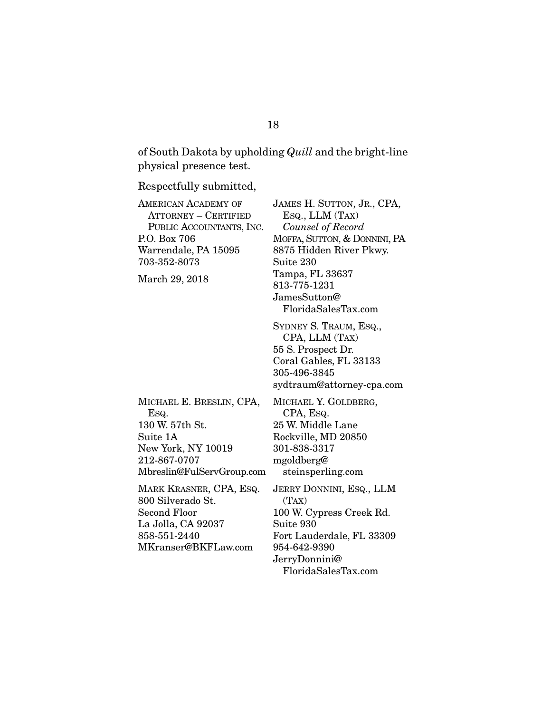of South Dakota by upholding *Quill* and the bright-line physical presence test.

Respectfully submitted,

| <b>AMERICAN ACADEMY OF</b><br><b>ATTORNEY - CERTIFIED</b><br>PUBLIC ACCOUNTANTS, INC.<br>P.O. Box 706<br>Warrendale, PA 15095<br>703-352-8073<br>March 29, 2018 | <b>JAMES H. SUTI</b><br>Esq., LLM ('<br>Counsel of R<br>MOFFA, SUTTON<br>8875 Hidden F<br>Suite 230<br>Tampa, FL 336<br>813-775-1231<br>JamesSutton@<br>FloridaSales       |
|-----------------------------------------------------------------------------------------------------------------------------------------------------------------|----------------------------------------------------------------------------------------------------------------------------------------------------------------------------|
|                                                                                                                                                                 | <b>SYDNEY S. TRA</b><br>CPA, LLM ('<br>55 S. Prospect<br>Coral Gables, 1<br>305-496-3845<br>sydtraum@atto                                                                  |
| MICHAEL E. BRESLIN, CPA,<br>Esq.<br>130 W. 57th St.<br>Suite 1A<br>New York, NY 10019<br>212-867-0707<br>Mbreslin@FulServGroup.com                              | MICHAEL Y. GO<br>CPA, Esq.<br>25 W. Middle L<br>Rockville, MD<br>301-838-3317<br>mgoldberg@<br>steinsperling                                                               |
| MARK KRASNER, CPA, ESQ.<br>800 Silverado St.<br><b>Second Floor</b><br>La Jolla, CA 92037<br>858-551-2440<br>MKranser@BKFLaw.com                                | <b>JERRY DONNIN</b><br>(TAX)<br>100 W. Cypress<br>Suite 930<br>Fort Lauderda<br>954-642-9390<br>JerryDonnini@<br>$\Gamma$ <sub>am</sub> $\lambda_0$ $\Gamma$ <sub>ac</sub> |

ron, Jr., CPA,  $\text{Tax)}$  *Counsel of Record*  , & DONNINI, PA River Pkwy. 637 JamesSutton@ sTax.com

UM, ESQ., TAX) Dr. FL 33133 orney-cpa.com

DLDBERG, ane. 20850 g.com I, Esq., LLM

s Creek Rd. lle, FL 33309 JerryDonnini@ FloridaSalesTax.com